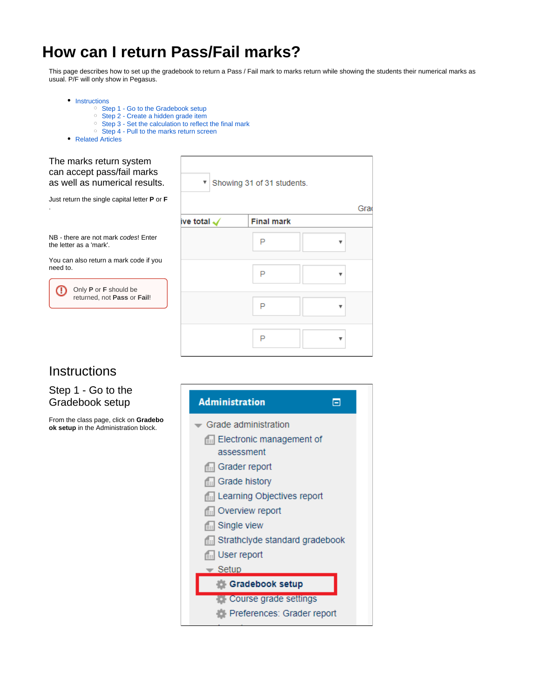# <span id="page-0-2"></span>**How can I return Pass/Fail marks?**

This page describes how to set up the gradebook to return a Pass / Fail mark to marks return while showing the students their numerical marks as usual. P/F will only show in Pegasus.

Gra

• [Instructions](#page-0-0)

- <sup>o</sup> [Step 1 Go to the Gradebook setup](#page-0-1)
- <sup>o</sup> [Step 2 Create a hidden grade item](#page-1-0)
- <sup>o</sup> [Step 3 Set the calculation to reflect the final mark](#page-1-1)
- [Step 4 Pull to the marks return screen](#page-2-0)
- [Related Articles](#page-2-1)

| The marks return system<br>can accept pass/fail marks<br>as well as numerical results. |                        | ▼ Showing 31 of 31 students. |
|----------------------------------------------------------------------------------------|------------------------|------------------------------|
| Just return the single capital letter <b>P</b> or <b>F</b>                             |                        |                              |
|                                                                                        | ive total $\checkmark$ | <b>Final mark</b>            |
| NB - there are not mark codes! Enter<br>the letter as a 'mark'.                        |                        | P                            |
| You can also return a mark code if you<br>need to.                                     |                        | P                            |
| Only P or F should be<br>returned, not Pass or Fail!                                   |                        |                              |
|                                                                                        |                        | P                            |
|                                                                                        |                        | P                            |

## <span id="page-0-0"></span>**Instructions**

## <span id="page-0-1"></span>Step 1 - Go to the Gradebook setup

From the class page, click on **Gradebo ok setup** in the Administration block.

| <b>Administration</b><br>н                    |  |
|-----------------------------------------------|--|
| $\overline{\phantom{a}}$ Grade administration |  |
| E: Electronic management of                   |  |
| assessment                                    |  |
| <b>Grader report</b>                          |  |
| <b>Grade history</b>                          |  |
| Learning Objectives report                    |  |
| <b>Example 13 Overview report</b>             |  |
| <b>Single view</b>                            |  |
| Strathclyde standard gradebook                |  |
| <b>I</b> User report                          |  |
| $\overline{\phantom{0}}$ Setup                |  |
| <b>Gradebook setup</b>                        |  |
| <b>Course grade settings</b>                  |  |
| Preferences: Grader report                    |  |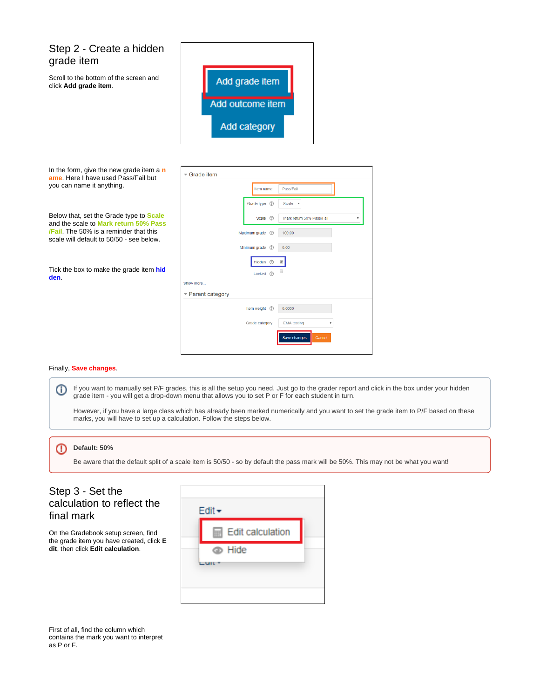## <span id="page-1-0"></span>Step 2 - Create a hidden grade item Scroll to the bottom of the screen and click **Add grade item**.



| In the form, give the new grade item a $n$<br>ame. Here I have used Pass/Fail but<br>you can name it anything. | $\overline{\phantom{a}}$ Grade item<br>Pass/Fail<br>Item name |
|----------------------------------------------------------------------------------------------------------------|---------------------------------------------------------------|
|                                                                                                                | Grade type (?)<br>Scale v                                     |
| Below that, set the Grade type to <b>Scale</b><br>and the scale to Mark return 50% Pass                        | Scale (?)<br>Mark return 50% Pass/Fail                        |
| <b>/Fail.</b> The 50% is a reminder that this<br>scale will default to 50/50 - see below.                      | Maximum grade<br>$\circledR$<br>100.00                        |
|                                                                                                                | Minimum grade<br>0.00<br>$\odot$                              |
|                                                                                                                | Hidden (?)<br>$\overline{\mathcal{L}}$                        |
| Tick the box to make the grade item hid<br>den.                                                                | □<br>Locked (?)                                               |
|                                                                                                                | Show more                                                     |
|                                                                                                                | $\blacktriangleright$ Parent category                         |
|                                                                                                                | Item weight ©<br>0.0000                                       |
|                                                                                                                | Grade category<br><b>EMA</b> testing                          |
|                                                                                                                | Save changes<br>Cancel                                        |

#### Finally, **Save changes**.

(i) If you want to manually set P/F grades, this is all the setup you need. Just go to the grader report and click in the box under your hidden grade item - you will get a drop-down menu that allows you to set P or F for each student in turn.

However, if you have a large class which has already been marked numerically and you want to set the grade item to P/F based on these marks, you will have to set up a calculation. Follow the steps below.

#### **Default: 50%**

Be aware that the default split of a scale item is 50/50 - so by default the pass mark will be 50%. This may not be what you want!

### <span id="page-1-1"></span>Step 3 - Set the calculation to reflect the final mark

On the Gradebook setup screen, find the grade item you have created, click **E dit**, then click **Edit calculation**.



First of all, find the column which contains the mark you want to interpret as P or F.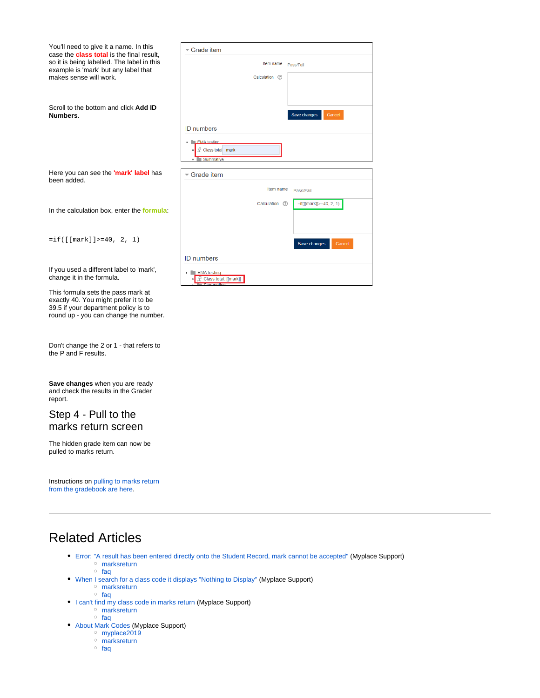| You'll need to give it a name. In this<br>case the <b>class total</b> is the final result,<br>so it is being labelled. The label in this<br>example is 'mark' but any label that | Grade item                                          |  |  |
|----------------------------------------------------------------------------------------------------------------------------------------------------------------------------------|-----------------------------------------------------|--|--|
|                                                                                                                                                                                  | Item name<br>Pass/Fail                              |  |  |
| makes sense will work.                                                                                                                                                           | Calculation (?)                                     |  |  |
| Scroll to the bottom and click Add ID<br>Numbers.                                                                                                                                | <b>Save changes</b><br>Cancel                       |  |  |
|                                                                                                                                                                                  | <b>ID</b> numbers                                   |  |  |
|                                                                                                                                                                                  | <b>EMA</b> testing<br>Class total mark<br>Summative |  |  |
| Here you can see the 'mark' label has<br>been added.                                                                                                                             | Grade item                                          |  |  |
|                                                                                                                                                                                  | Item name<br>Pass/Fail                              |  |  |
| In the calculation box, enter the formula:                                                                                                                                       | $=$ if([[mark]]>=40, 2, 1)<br>Calculation (?)       |  |  |
| $=$ if([[mark]]>=40, 2, 1)                                                                                                                                                       | Save changes<br>Cancel                              |  |  |
|                                                                                                                                                                                  | <b>ID</b> numbers                                   |  |  |
| If you used a different label to 'mark',<br>change it in the formula.                                                                                                            | <b>EMA</b> testing<br>Class total: [[mark]]         |  |  |
| This formula sets the pass mark at<br>exactly 40. You might prefer it to be                                                                                                      |                                                     |  |  |

Don't change the 2 or 1 - that refers to the P and F results.

39.5 if your department policy is to round up - you can change the number.

**Save changes** when you are ready and check the results in the Grader report.

### <span id="page-2-0"></span>Step 4 - Pull to the marks return screen

The hidden grade item can now be pulled to marks return.

Instructions on [pulling to marks return](https://wiki.lte.strath.ac.uk/display/MS/Pulling+marks+from+the+gradebook)  [from the gradebook are here.](https://wiki.lte.strath.ac.uk/display/MS/Pulling+marks+from+the+gradebook)

## <span id="page-2-1"></span>Related Articles

- [Error: "A result has been entered directly onto the Student Record, mark cannot be accepted"](https://wiki.lte.strath.ac.uk/pages/viewpage.action?pageId=218890242) (Myplace Support) [marksreturn](https://wiki.lte.strath.ac.uk/label/marksreturn)
	- <sup>o</sup> [faq](https://wiki.lte.strath.ac.uk/label/faq)
- [When I search for a class code it displays "Nothing to Display"](https://wiki.lte.strath.ac.uk/pages/viewpage.action?pageId=124682287) (Myplace Support)
	- o [marksreturn](https://wiki.lte.strath.ac.uk/label/marksreturn)
	- <sup>o</sup> [faq](https://wiki.lte.strath.ac.uk/label/faq)
- [I can't find my class code in marks return](https://wiki.lte.strath.ac.uk/display/MS/I+can%27t+find+my+class+code+in+marks+return) (Myplace Support) [marksreturn](https://wiki.lte.strath.ac.uk/label/marksreturn)
	- [faq](https://wiki.lte.strath.ac.uk/label/faq)
	- [About Mark Codes](https://wiki.lte.strath.ac.uk/display/MS/About+Mark+Codes) (Myplace Support)
		- [myplace2019](https://wiki.lte.strath.ac.uk/label/myplace2019)
			- <sup>o</sup> [marksreturn](https://wiki.lte.strath.ac.uk/label/marksreturn)
			- $\circ$  [faq](https://wiki.lte.strath.ac.uk/label/faq)